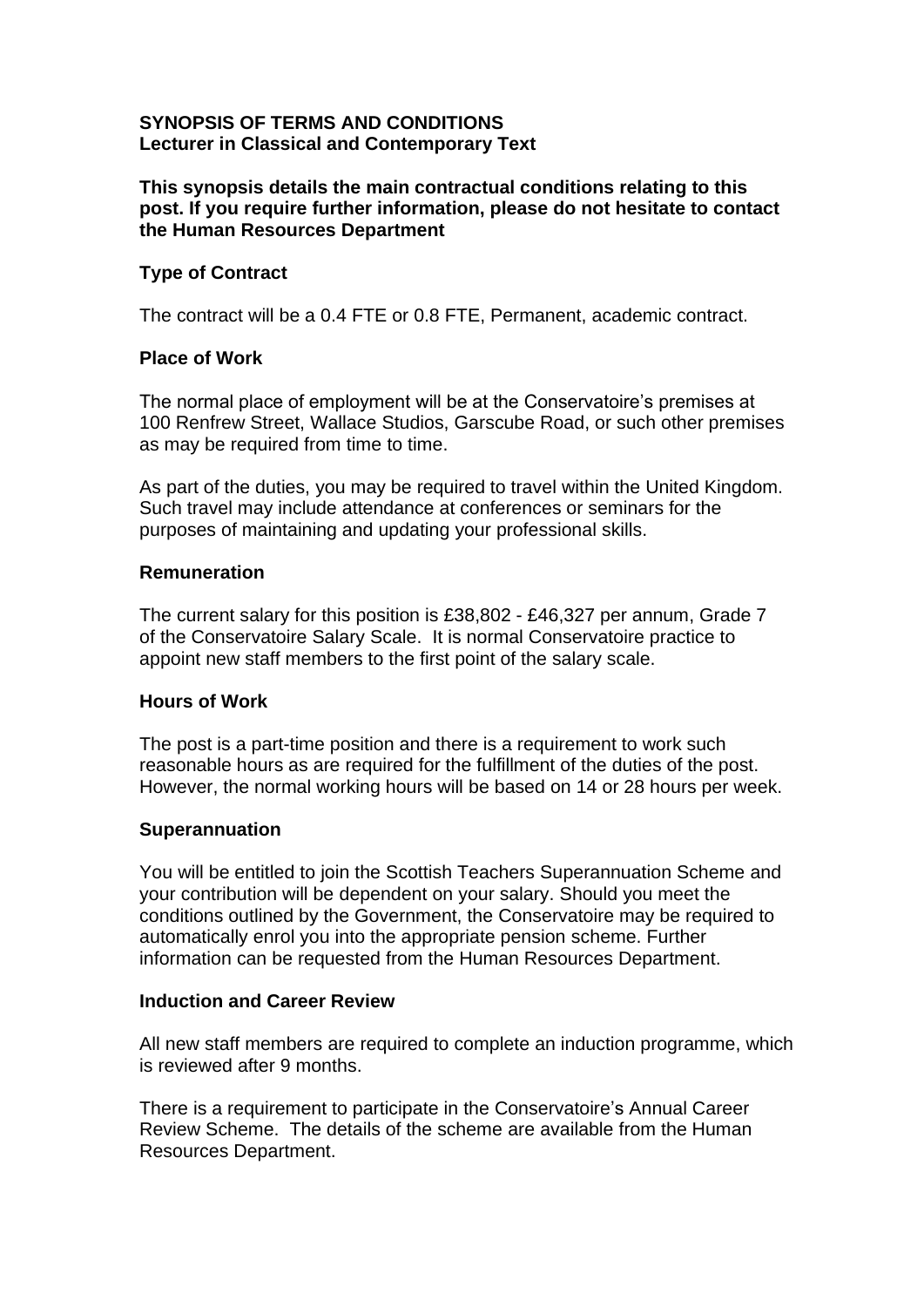## **SYNOPSIS OF TERMS AND CONDITIONS Lecturer in Classical and Contemporary Text**

## **This synopsis details the main contractual conditions relating to this post. If you require further information, please do not hesitate to contact the Human Resources Department**

## **Type of Contract**

The contract will be a 0.4 FTE or 0.8 FTE, Permanent, academic contract.

## **Place of Work**

The normal place of employment will be at the Conservatoire's premises at 100 Renfrew Street, Wallace Studios, Garscube Road, or such other premises as may be required from time to time.

As part of the duties, you may be required to travel within the United Kingdom. Such travel may include attendance at conferences or seminars for the purposes of maintaining and updating your professional skills.

### **Remuneration**

The current salary for this position is £38,802 - £46,327 per annum, Grade 7 of the Conservatoire Salary Scale. It is normal Conservatoire practice to appoint new staff members to the first point of the salary scale.

## **Hours of Work**

The post is a part-time position and there is a requirement to work such reasonable hours as are required for the fulfillment of the duties of the post. However, the normal working hours will be based on 14 or 28 hours per week.

#### **Superannuation**

You will be entitled to join the Scottish Teachers Superannuation Scheme and your contribution will be dependent on your salary. Should you meet the conditions outlined by the Government, the Conservatoire may be required to automatically enrol you into the appropriate pension scheme. Further information can be requested from the Human Resources Department.

#### **Induction and Career Review**

All new staff members are required to complete an induction programme, which is reviewed after 9 months.

There is a requirement to participate in the Conservatoire's Annual Career Review Scheme. The details of the scheme are available from the Human Resources Department.